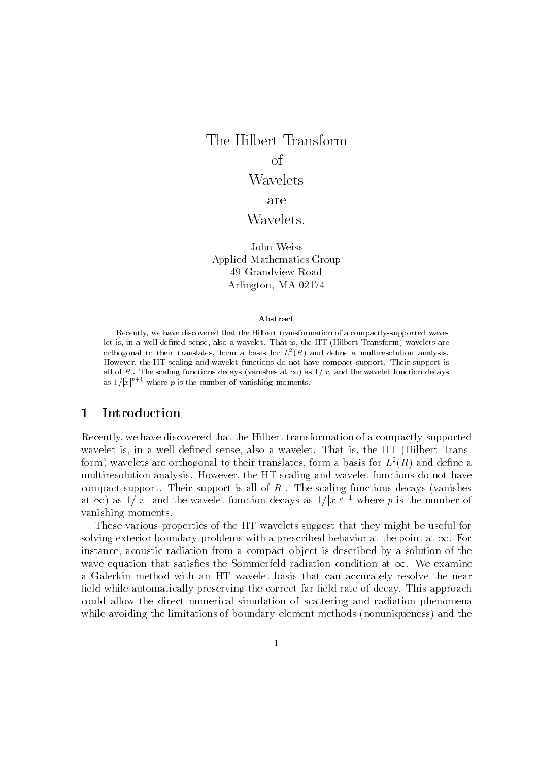# The Hilbert Transform of of the state of the state of the state of the state of the state of the state of the state of the state of the Wavelets are Wavelets.

John Weiss Applied Mathematics Group 49 Grandview Road Arlington- MA

#### Abstract

Recently, we have discovered that the Hilbert transformation of a compactly-supported wavelet is in a well de-ned sense also a wavelet That is the HT Hilbert Transform wavelets areorthogonal to their translates. Iorm a basis for  $L^-(K)$  and define a multiresolution analysis. However, the HT scaling and wavelet functions do not have compact support. Their support is all of R  $\,$  The scaling functions decays (vanishes at  $\infty$ ) as  $\,$   $\iota$  and the wavelet function decays as  $1/|x|^{r+1}$  where p is the number of vanishing moments.

Recently- we have discovered that the Hilbert transformation of a compactlysupported wavelet is-dened sense- in a wavelet is-dened sense- in a wavelet is-dened sense- in a wavelet is-dened senseform) wavelets are orthogonal to their translates, form a basis for  $L^-(R)$  and define a multiples analysis  $\mathcal{H}$  scaling analysis  $\mathcal{H}$ compact support. Their support is all of R  $\cdot$  The scaling functions decays functions and at  $\infty$ ) as  $1/|x|$  and the wavelet function decays as  $1/|x|^{p+1}$  where p is the number of vanishing moments 

These various properties of the HT wavelets suggest that they might be useful for solving exterior boundary problems with a prescribed behavior at the point at  $\infty$ . For instance- acoustic radiation from a compact ob ject is described by a solution of the wave equation that satisfies the Sommerfeld radiation condition at  $\infty$ . We examine a Galerkin method with an HT wavelet basis that can accurately resolve the near field while automatically preserving the correct far field rate of decay. This approach could allow the direct numerical simulation of scattering and radiation phenomena while avoiding the limitations of boundary element methods nonuniqueness and the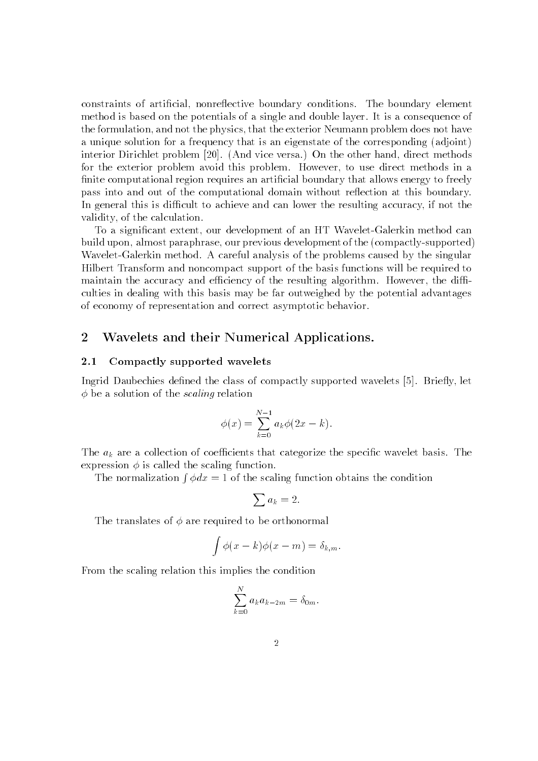constraints of articial- nonreective boundary conditions The boundary element method is based on the potentials of a single and double layer. It is a consequence of the formulation-that the physics-that the exterior Neumann problem does not have not have not have not have no a unique solution for a frequency that is an eigenstate of the corresponding (stationary interior Dirichlet problem 
 And vice versa On the other hand- direct methods for the exterior problem avoid this problem However- to use direct methods in a finite computational region requires an artificial boundary that allows energy to freely pass into and out of the computational domain without reflection at this boundary. In general this is dicult to achieve and can lower the resulting accuracy- if not the , which is the calculation of the calculation of the calculation of the calculation of the calculation of the

To a signicant extent- our development of an HT WaveletGalerkin method can build upon- almost paraphrase- our previous development of the compactlysupported Wavelet-Galerkin method. A careful analysis of the problems caused by the singular Hilbert Transform and noncompact support of the basis functions will be required to maintain the accuracy and ecoelectricity and ecoelectricity algorithm  $\mathcal{H}$ culties in dealing with this basis may be far outweighed by the potential advantages of economy of representation and correct asymptotic behavior 

#### Wavelets and their Numerical Applications- $\mathcal{D}$

#### 2.1 Compactly supported wavelets

Ingrid Daubechies dened the class of compactly supported wavelets 
 Briey- let  $\gamma$  so a solution of the scaling relation

$$
\phi(x) = \sum_{k=0}^{N-1} a_k \phi(2x - k).
$$

The  $a_k$  are a collection of coefficients that categorize the specific wavelet basis. The expression  $\phi$  is called the scaling function.

The normalization  $\int \phi dx = 1$  of the scaling function obtains the condition

$$
\sum a_k = 2.
$$

The translates of  $\phi$  are required to be orthonormal

$$
\int \phi(x-k)\phi(x-m) = \delta_{k,m}.
$$

From the scaling relation this implies the condition

$$
\sum_{k=0}^{N} a_k a_{k-2m} = \delta_{0m}.
$$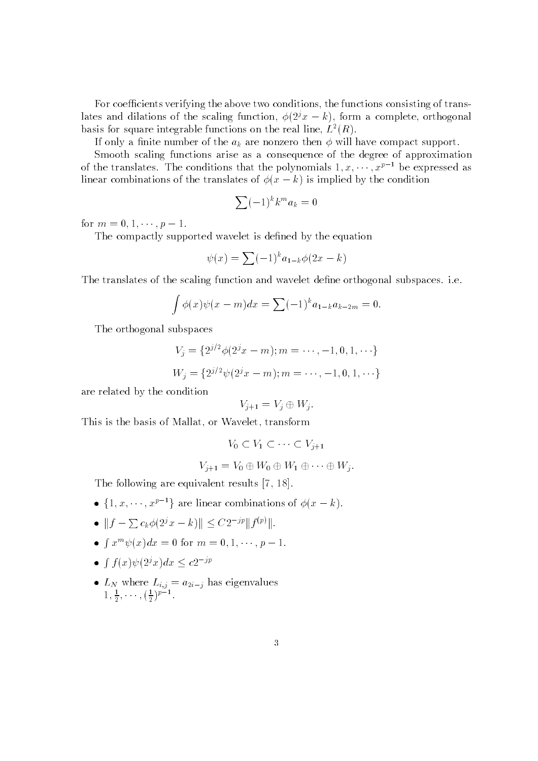For coecients verifying the above two conditions-induced of transformations-induced of transformations  $\mathcal{F}(\mathbf{A})$ rates and dilations of the scaling function,  $\varphi(z|x = k)$ , form a complete, orthogonal basis for square integrable functions on the real line,  $L^+(R)$ .

If only a finite number of the  $a_k$  are nonzero then  $\phi$  will have compact support.

Smooth scaling functions arise as a consequence of the degree of approximation of the translates. The conditions that the polynomials  $1, x, \cdots, x^{p-1}$  be expressed as incar combinations of the translates of  $\phi(x = \kappa)$  is implied by the condition

$$
\sum (-1)^k k^m a_k = 0
$$

for  $m = 0, 1, \cdots, p - 1$ .

The compactly supported wavelet is defined by the equation

$$
\psi(x) = \sum (-1)^k a_{1-k} \phi(2x - k)
$$

The translates of the scaling function and wavelet define orthogonal subspaces. i.e.

$$
\int \phi(x)\psi(x - m)dx = \sum (-1)^{k} a_{1-k}a_{k-2m} = 0.
$$

The orthogonal subspaces

$$
V_j = \{2^{j/2}\phi(2^jx - m); m = \cdots, -1, 0, 1, \cdots\}
$$
  

$$
W_j = \{2^{j/2}\psi(2^jx - m); m = \cdots, -1, 0, 1, \cdots\}
$$

are related by the condition

$$
V_{j+1} = V_j \oplus W_j.
$$

This is the basis of Mallat- or Wavelet- transform

$$
V_0 \subset V_1 \subset \cdots \subset V_{j+1}
$$

$$
V_{j+1} = V_0 \oplus W_0 \oplus W_1 \oplus \cdots \oplus W_j.
$$

The following are equivalent results and  $\mathbf{r}_1$ 

- $\{1, x, \dots, x^{p-1}\}\$ are linear combinations of  $\phi(x-k)$ .
- $\bullet \quad \|f-\sum c_k\phi(2^jx-k)\| \leq C2^{-jp}\|f^{(p)}\|.$
- $\bullet\;\;+\;x$  $\int x^m \psi(x) dx = 0$  for  $m = 0, 1, \dots, p-1$ .
- $\bullet$  1 T R R L  $f(x)\psi(2^{j}x)dx \leq c2^{-jp}$
- $\bullet$  L<sub>N</sub> where  $L_{i,j} = a_{2i-j}$  has eigenvalues  $1, \frac{1}{2}, \cdots, (\frac{1}{2})^r$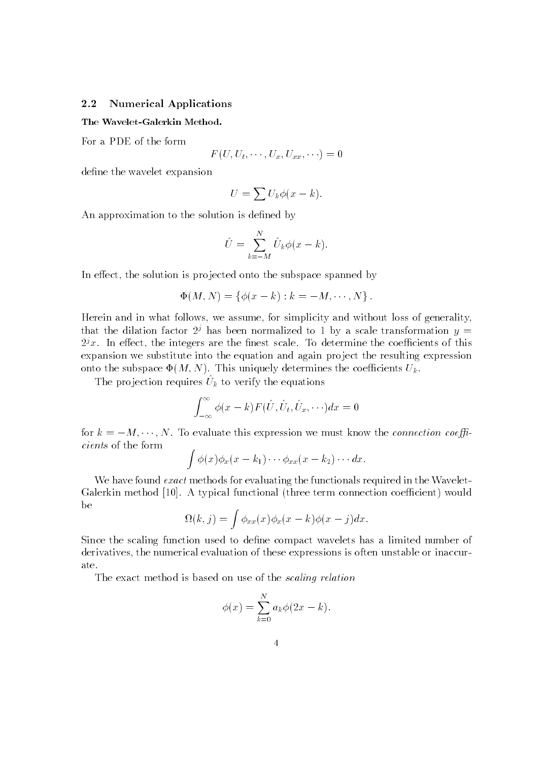# 2.2 Numerical Applications

The Wavelet-Galerkin Method.

For a PDE of the form

$$
F(U, U_t, \cdots, U_x, U_{xx}, \cdots) = 0
$$

define the wavelet expansion

$$
U = \sum U_k \phi(x - k).
$$

An approximation to the solution is defined by

$$
\hat{U} = \sum_{k=-M}^{N} \hat{U}_k \phi(x-k).
$$

en in eert in the solution is produced on the subspace space produced by the subspace  $\mathcal{I}$ 

$$
\Phi(M, N) = \{ \phi(x - k) : k = -M, \cdots, N \}.
$$

Herein and in what follows- we assume- for simplicity and without loss of generalitythat the dilation factor  $2^j$  has been normalized to 1 by a scale transformation  $y =$  $2^\circ\,x_\ast$  . In effect, the integers are the finest scale. To determine the coefficients of this expansion we substitute into the equation and again project the resulting expression onto the subspace  $\mathbf{r}_1 \mathbf{r}_1 \mathbf{r}_2$ ,  $\mathbf{r}_2 \mathbf{r}_3$  and  $\mathbf{r}_3 \mathbf{r}_4$  are coefficients  $\mathbf{r}_k$ .

The projection requires  $U_k$  to verify the equations

$$
\int_{-\infty}^{\infty} \phi(x-k) F(\hat{U}, \hat{U}_t, \hat{U}_x, \cdots) dx = 0
$$

for  $\kappa = -M$ ,  $\cdots$ , *i*v. To evaluate this expression we must know the *connection coeffi*cients of the form zna za zapisani za nastani za nastani za nastani za nastani za nastani za nastani za nastani za nastani za na

$$
\int \phi(x)\phi_x(x-k_1)\cdots\phi_{xx}(x-k_2)\cdots dx.
$$

We have found *exact* methods for evaluating the functionals required in the Wavelet-Galerkin method 
 A typical functional three term connection coecient would be

$$
\Omega(k,j) = \int \phi_{xx}(x)\phi_x(x-k)\phi(x-j)dx.
$$

Since the scaling function used to dene compact wavelets has a limited number of derivatives-the numerical evaluation of the numerical evaluation of these expressions is often unstable or inaccuration of the numerical evaluations is often unstable or inaccurations in  $\mathcal{C}$ ate 

The exact method is based on use of the scaling relation

$$
\phi(x) = \sum_{k=0}^{N} a_k \phi(2x - k).
$$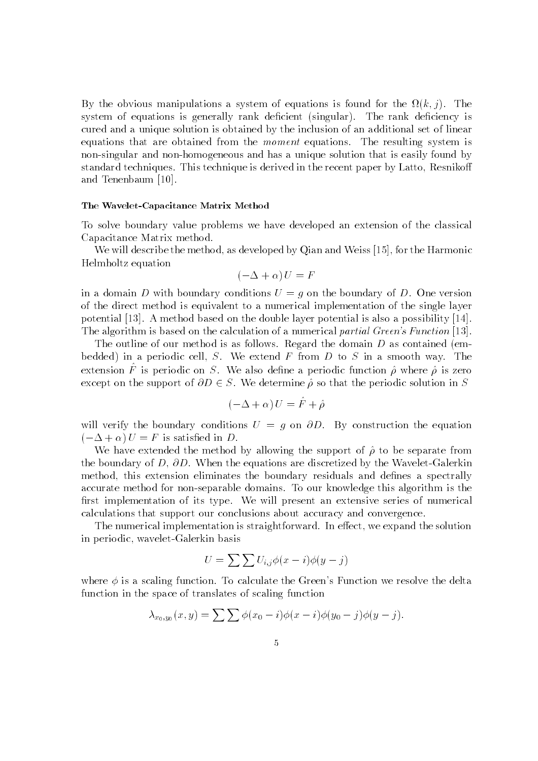$B$  y and obvious manipulations a system of equations is found for the  $\mu(\kappa, \mu)$ . The system of equations is generally rank decient singular The rank deciency is cured and a unique solution is obtained by the inclusion of an additional set of linear equations that are obtained from the *moment* equations. The resulting system is non-singular and non-homogeneous and has a unique solution that is easily found by standard techniques This technique is derived in the recent paper by Latto- Resniko and Tenenbaum [10].

### The Wavelet-Capacitance Matrix Method

To solve boundary value problems we have developed an extension of the classical Capacitance Matrix method 

will describe the methods of the methods of and Weiss and Weiss (1991) and Weiss and Weiss and Weiss (1991) and Helmholtz equation

$$
(-\Delta + \alpha) U = F
$$

in a domain D with boundary conditions  $U = q$  on the boundary of D. One version of the direct method is equivalent toanumerical implementation of the single layer potential  $[13]$ . A method based on the double layer potential is also a possibility  $[14]$ . The algorithm is based on the calculation of a numerical partial Green-s Function 

The outline of our method is as follows Regard the domain <sup>D</sup> as contained em bedded in a periodic cell- <sup>S</sup> We extend <sup>F</sup> from <sup>D</sup> to <sup>S</sup> in a smooth way The extension F is periodic on  $\rho$ . We also denie a periodic function  $\rho$  where  $\rho$  is zero except on the support of  $\partial D \in S$ . We determine  $\hat{\rho}$  so that the periodic solution in S

$$
(-\Delta + \alpha) U = \hat{F} + \hat{\rho}
$$

will verify the boundary conditions  $U = q$  on  $\partial D$ . By construction the equation  $U = \Delta + \alpha$   $U = \Gamma$  is satisfied in D.

We have extended the method by allowing the support of  $\hat{\rho}$  to be separate from the boundary of D-OD- which the equations are discretized by the Wavelet Galerian method- this extension eliminates the boundary residuals and denes a spectrally accurate method for non-separable domains. To our knowledge this algorithm is the first implementation of its type. We will present an extensive series of numerical calculations that support our conclusions about accuracy and convergence 

The numerical implementation is straightforward in each  $\mathbf{I}$  expanding the solution in equation is straightforward. in periodic-basis and periodic-basis and periodic-basis and periodic-basis and periodic-basis and periodic-basi

$$
U = \sum \sum U_{i,j} \phi(x - i) \phi(y - j)
$$

where  $\phi$  is a scaling function. To calculate the Green's Function we resolve the delta function in the space of translates of scaling function

$$
\lambda_{x_0,y_0}(x,y) = \sum \sum \phi(x_0 - i)\phi(x - i)\phi(y_0 - j)\phi(y - j).
$$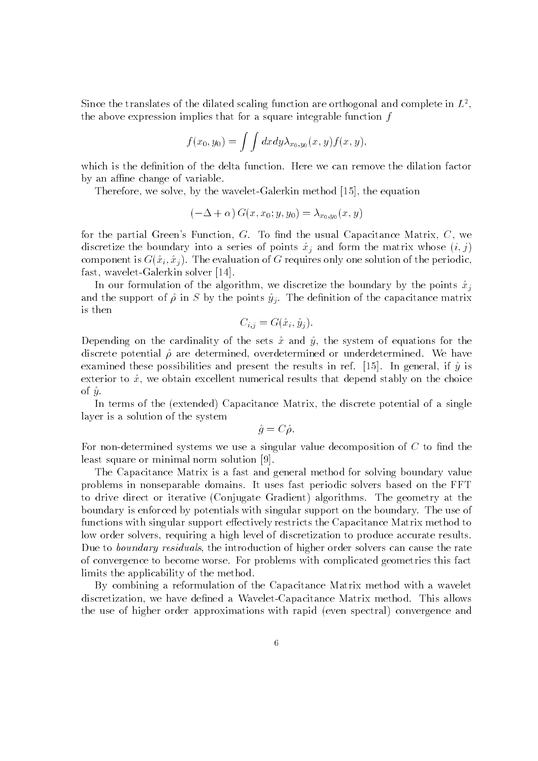Since the translates of the dilated scaling function are orthogonal and complete in  $L^2$ , the above expression implies that for a square integrable function  $f$ 

$$
f(x_0, y_0) = \int \int dx dy \lambda_{x_0, y_0}(x, y) f(x, y),
$$

which is the definition of the delta function. Here we can remove the dilation factor by an affine change of variable.

Therefore- we solve- by the waveletGalerkin method 
- the equation

$$
(-\Delta + \alpha) G(x, x_0; y, y_0) = \lambda_{x_0, y_0}(x, y)
$$

for the partial Greens Function, G. To mice the usual Capacitance Matrix- Of Ho discretize the boundary mod a series of points  $x_j$  and form the matrix whose  $(i, j)$ component is G $\{w_i\}$ ,  $\bot$  is evaluation of G requires only one solution of the periodicfast- waveletGalerkin solver 
 

In our formulation of the algorithm- we discretize the boundary by the points xj and the support of  $\hat{\rho}$  in S by the points  $\hat{y}_j$ . The definition of the capacitance matrix is then

$$
C_{i,j} = G(\hat{x}_i, \hat{y}_j).
$$

Depending on the cardinality of the sets x and y- the system of equations for the discrete potential para determined or cractermined or undergraphed or under the material examined these possibilities and present the results in ref. [re], in general-it y is exterior to will be obtain the excellent manifestions for drive web choice provers that the choice of  $\hat{u}$ .

In terms of the extended Capacitance Matrix- the discrete potential of a single layer is a solution of the system

$$
\hat{g}=C\hat{\rho}.
$$

For non-determined systems we use a singular value decomposition of  $C$  to find the least square or minimal norm solution [9].

The Capacitance Matrix is a fast and general method for solving boundary value problems in nonseparable domains It uses fast periodic solvers based on the FFT  $\mathbf{C}$  drive direct or iterative  $\mathbf{C}$ boundary is enforced by potentials with singular support on the boundary. The use of functions with singular support effectively restricts the Capacitance Matrix method to low order solvers- requiring a high level of discretization to produce accurate results . the introduction of the introduction of the introduction order solvers can cause the rate of  $\alpha$ of convergence to become worse. For problems with complicated geometries this fact limits the applicability of the method 

By combining a reformulation of the Capacitance Matrix method with a wavelet discretization-dened a WaveletCapacitance Matrix methods a WaveletCapacitance Matrix methods and this allows m the use of higher order approximations with rapid even spectral convergence and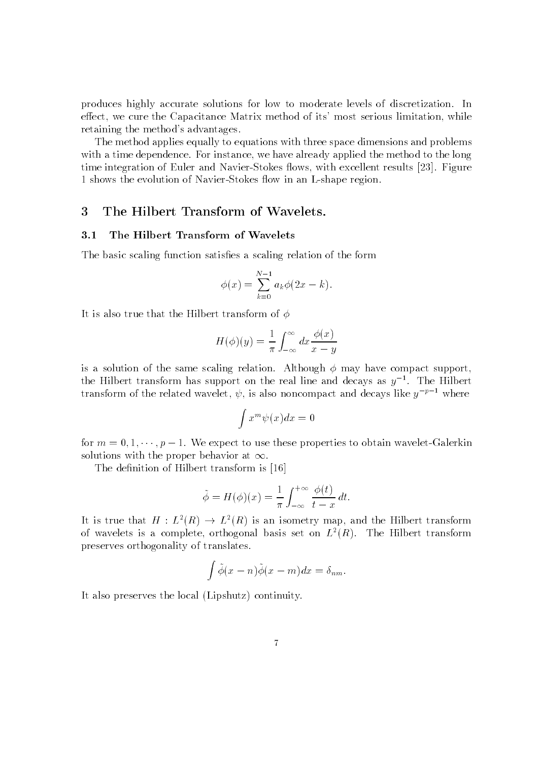produces highly accurate solutions for low to moderate levels of discretization. In eect- we cure the Capacitance Matrix method of its most serious limitation- while retaining the method's advantages.

The method applies equally to equations with three space dimensions and problems with a formulation for instance-dependence instance-we have already applied the method to the method to the me time integration of  $\Gamma$  is excellent results to  $\Gamma$  . In the subset results in the subset results in the subset of  $\Lambda$ 1 shows the evolution of Navier-Stokes flow in an L-shape region.

# 3 The Hilbert Transform of Wavelets.

#### $3.1$ The Hilbert Transform of Wavelets

The basic scaling function satisfies a scaling relation of the form

$$
\phi(x) = \sum_{k=0}^{N-1} a_k \phi(2x - k).
$$

It is also true that the Hilbert transform of  $\phi$ 

$$
H(\phi)(y) = \frac{1}{\pi} \int_{-\infty}^{\infty} dx \frac{\phi(x)}{x - y}
$$

is a solution of the same scaling relation. Although  $\phi$  may have compact support, the Hilbert transform has support on the real line and decays as  $y^{-}$ . The Hilbert  $$ transform of the related wavelet,  $\psi$ , is also noncompact and decays like  $y^{-1}$  - where

$$
\int x^m \psi(x) dx = 0
$$

for  $m = 0, 1, \cdots, p - 1$  , we expect to use these properties to obtain wavelet-Galerkin solutions with the proper behavior at  $\infty$ .

The definition of Hilbert transform is [16]

$$
\tilde{\phi} = H(\phi)(x) = \frac{1}{\pi} \int_{-\infty}^{+\infty} \frac{\phi(t)}{t - x} dt.
$$

It is true that  $H: L^2(R) \to L^2(R)$  is an isometry map, and the Hilbert transform of wavelets is a complete, orthogonal basis set on  $L^+(R)$ . The fillbert transform preserves orthogonality of translates 

$$
\int \tilde{\phi}(x-n)\tilde{\phi}(x-m)dx = \delta_{nm}.
$$

It also preserves the local Lipshutz continuity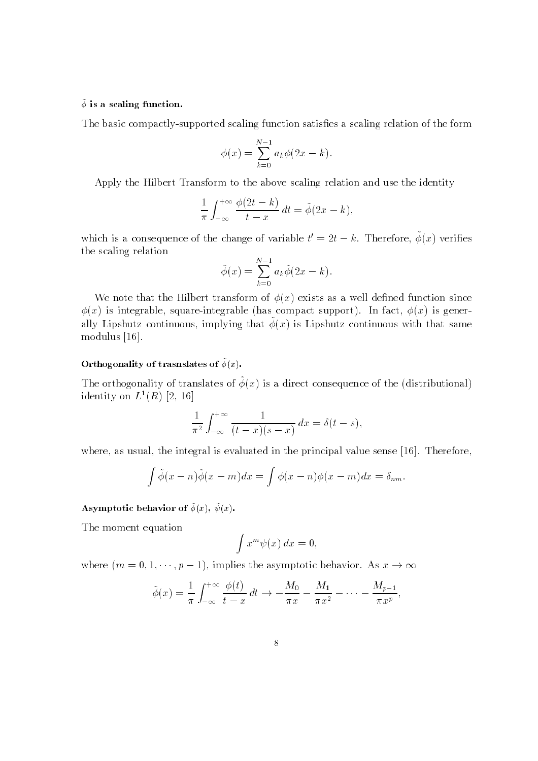### $\varphi$  is a scaling function.  $-$

The basic compactly-supported scaling function satisfies a scaling relation of the form

$$
\phi(x) = \sum_{k=0}^{N-1} a_k \phi(2x - k).
$$

Apply the Hilbert Transform to the above scaling relation and use the identity

$$
\frac{1}{\pi} \int_{-\infty}^{+\infty} \frac{\phi(2t - k)}{t - x} dt = \tilde{\phi}(2x - k),
$$

which is a consequence of the change of variable  $t = 2t - \kappa$ . Therefore,  $\varphi(x)$  vertiles the scaling relation

$$
\tilde{\phi}(x) = \sum_{k=0}^{N-1} a_k \tilde{\phi}(2x - k).
$$

we are a complete that the since the since  $\alpha$  is a well denote the since  $\alpha$  as a contribution since  $\alpha$ y is integrable, square integrable (mas compact support). In most, yis for gener ally Lipshutz continuous, implying that  $\varphi(x)$  is Lipshutz continuous with that same modulus [16].

#### Orthogonality of trasnslates of  $\varphi(x)$ .

The orthogonality of translates of  $\varphi(x)$  is a direct consequence of the (distributional) identity on  $L^*(R)/[Z,10]$  .

$$
\frac{1}{\pi^2} \int_{-\infty}^{+\infty} \frac{1}{(t-x)(s-x)} dx = \delta(t-s),
$$

where it is the integral is the integral in the integral is the control in the control in the sense is the sense of

$$
\int \tilde{\phi}(x-n)\tilde{\phi}(x-m)dx = \int \phi(x-n)\phi(x-m)dx = \delta_{nm}.
$$

#### Asymptotic behavior of  $\psi(x)$ ,  $\psi(x)$ ,

The moment equation

$$
\int x^m \psi(x) \, dx = 0,
$$

where  $(m = 0, 1, \dots, p - 1)$ , implies the asymptotic behavior. As  $x \to \infty$ 

$$
\tilde{\phi}(x) = \frac{1}{\pi} \int_{-\infty}^{+\infty} \frac{\phi(t)}{t - x} dt \to -\frac{M_0}{\pi x} - \frac{M_1}{\pi x^2} - \dots - \frac{M_{p-1}}{\pi x^p},
$$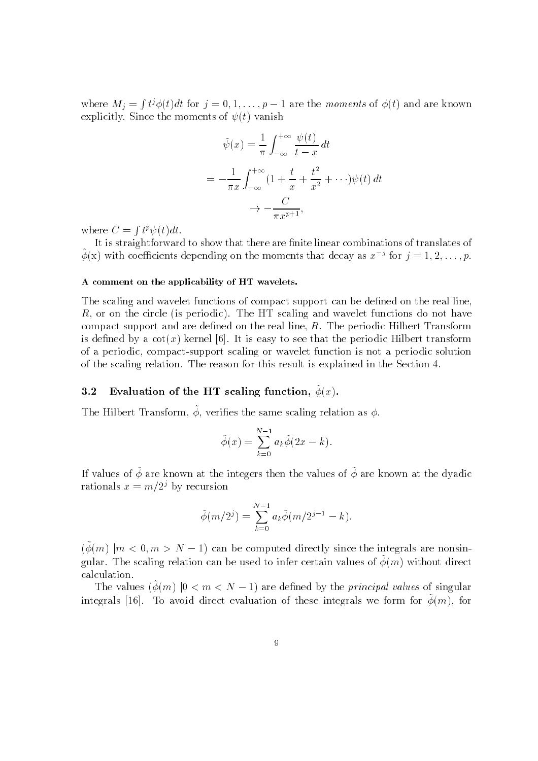where  $M_i = \int t^j \phi(t) dt$  for  $j = 0, 1, \ldots, p-1$  are the moments of  $\phi(t)$  and are known explicitly since the moments of  $\psi$  (i) compute

$$
\tilde{\psi}(x) = \frac{1}{\pi} \int_{-\infty}^{+\infty} \frac{\psi(t)}{t - x} dt
$$
\n
$$
= -\frac{1}{\pi x} \int_{-\infty}^{+\infty} \left(1 + \frac{t}{x} + \frac{t^2}{x^2} + \cdots\right) \psi(t) dt
$$
\n
$$
\to -\frac{C}{\pi x^{p+1}},
$$

where  $C = \int t^p \psi(t) dt$ .

It is straightforward to show that there are finite linear combinations of translates of  $\varphi(x)$  with coefficients depending on the moments that decay as  $x$   $\rightarrow$  for  $\gamma = 1, 2, \ldots, p$ .

# A comment on the applicability of HT wavelets

The scaling and wavelet functions of compact support can be defined on the real line, R- or on the circle is periodic The HT scaling and wavelet functions do not have compact support and are dened on the real line-top machine-bened the real displaces to the second the second t is dentities by a coting tection for the easy to see the state point and the state of the periodic of a periodic-to-compact support scaling or wavelet function is not a periodic solution is not a periodic solu of the scaling relation. The reason for this result is explained in the Section 4.

### $\mathbf{u}$ . Evaluation of the HT scaling function,  $\varphi(x)$ .

The Hilbert Transform,  $\varphi$ , verifies the same scaling relation as  $\varphi$ .

$$
\tilde{\phi}(x) = \sum_{k=0}^{N-1} a_k \tilde{\phi}(2x - k).
$$

If values of  $\varphi$  are known at the integers then the values of  $\varphi$  are known at the dyadic  $$ rationals  $x = m/2<sup>j</sup>$  by recursion

$$
\tilde{\phi}(m/2^{j}) = \sum_{k=0}^{N-1} a_k \tilde{\phi}(m/2^{j-1} - k).
$$

 $(\phi(m)$   $|m < 0, m > N - 1)$  can be computed directly since the integrals are nonsingular. The scaling relation can be used to miler certain values of  $\varphi(m)$  without direct  $$ calculation 

The values  $(\phi(m)$   $|0 < m < N - 1)$  are defined by the *principal values* of singular  $\min$ egrals  $\|10\|$ . To avoid direct evaluation of these integrals we form for  $\varphi(m)$ , for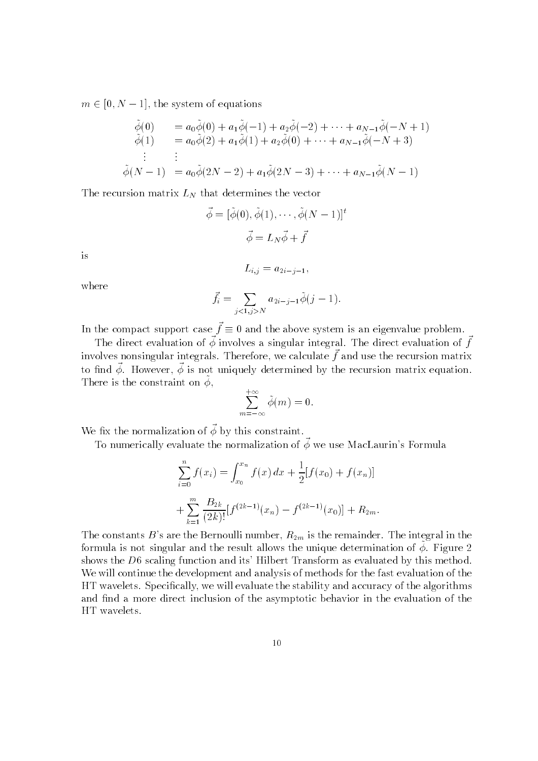$m \in [0, N - 1]$ , the system of equations

$$
\begin{array}{ll}\n\tilde{\phi}(0) & = a_0 \tilde{\phi}(0) + a_1 \tilde{\phi}(-1) + a_2 \tilde{\phi}(-2) + \dots + a_{N-1} \tilde{\phi}(-N+1) \\
\tilde{\phi}(1) & = a_0 \tilde{\phi}(2) + a_1 \tilde{\phi}(1) + a_2 \tilde{\phi}(0) + \dots + a_{N-1} \tilde{\phi}(-N+3) \\
& \vdots \\
\tilde{\phi}(N-1) & = a_0 \tilde{\phi}(2N-2) + a_1 \tilde{\phi}(2N-3) + \dots + a_{N-1} \tilde{\phi}(N-1)\n\end{array}
$$

The recursion matrix  $L_N$  that determines the vector

$$
\vec{\phi} = [\tilde{\phi}(0), \tilde{\phi}(1), \cdots, \tilde{\phi}(N-1)]^t
$$

$$
\vec{\phi} = L_N \vec{\phi} + \vec{f}
$$

$$
L_{i,j} = a_{2i-j-1},
$$

is

where

$$
\vec{f}_i = \sum_{j < 1, j > N} a_{2i - j - 1} \tilde{\phi}(j - 1).
$$

In the compact support case  $\mathfrak{f}\equiv 0$  and the above system is an eigenvalue problem.

The direct evaluation of  $\varphi$  involves a singular integral. The direct evaluation of  $\gamma$ involves nonsingular integrals. Therefore, we calculate  $\mu$  and use the recursion matrix to mid  $\varphi$ . However,  $\varphi$  is not uniquely determined by the recursion matrix equation. There is the constraint on  $\varphi$ ,

$$
\sum_{m=-\infty}^{+\infty} \tilde{\phi}(m) = 0.
$$

We fix the normalization of  $\vec{\phi}$  by this constraint.

To numerically evaluate the normalization of  $\varphi$  we use macLaurin s Formula

$$
\sum_{i=0}^{n} f(x_i) = \int_{x_0}^{x_n} f(x) dx + \frac{1}{2} [f(x_0) + f(x_n)]
$$
  
+ 
$$
\sum_{k=1}^{m} \frac{B_{2k}}{(2k)!} [f^{(2k-1)}(x_n) - f^{(2k-1)}(x_0)] + R_{2m}.
$$

The constants Bs are the Bernoulli number- Rm is the remainder The integral in the formula is not singular and the result ahows the unique determination of  $\varphi.$  I igure  $\varphi$ shows the  $D6$  scaling function and its' Hilbert Transform as evaluated by this method. We will continue the development and analysis of methods for the fast evaluation of the . We will exact the stability and stability and accuracy of the stability and accuracy of the algorithms  $\mathcal{L}$ and find a more direct inclusion of the asymptotic behavior in the evaluation of the HT wavelets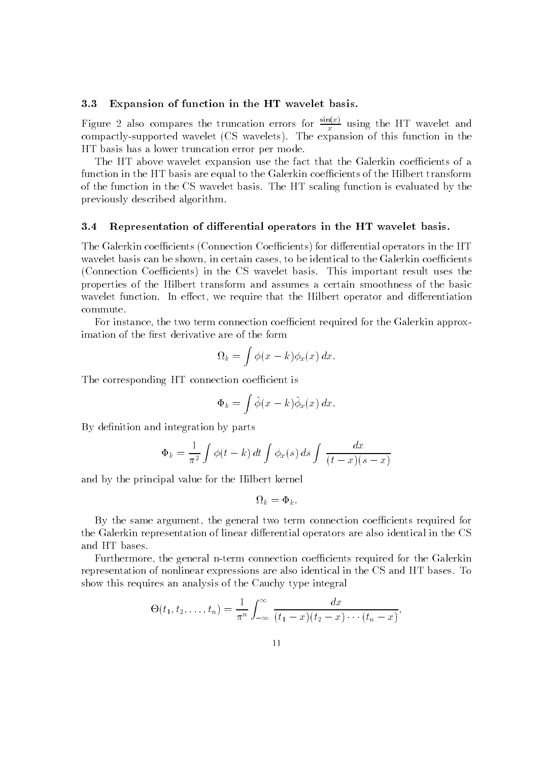# 3.3 Expansion of function in the HT wavelet basis.

Figure 2 also compares the truncation errors for  $\frac{m}{x}$  using the HT wavelet and compact the expansion in this function is the expansion in this function is the expansion in this function is the expansion in the expansion in the expansion in the expansion in the expansion in the expansion in the expans HT basis has a lower truncation error per mode 

The HT above wavelet expansion use the fact that the Galerkin coefficients of a function in the HT basis are equal to the Galerkin coefficients of the Hilbert transform of the function in the CS wavelet basis. The HT scaling function is evaluated by the previously described algorithm 

### 3.4 Representation of differential operators in the HT wavelet basis.

The Galerkin coecients Connection Coecients for dierential operators in the HT wavelet basis can be identical to be identical to be identical to the Galerkin coecients of the Galerkin coeci  $\Gamma$  Coecients in the CS wavelet basis in the CS wavelet basis in the CS wavelet basis in the CS wavelet basis the CS wavelet basis in the CS wavelet basis in the CS wavelet basis in the CS wavelet basis in the CS wavelet properties of the Hilbert transform and assumes a certain smoothness of the basic wavelet function In eect-that the Hilbert operator In eect-that the Hilbert operator and dieperator and dieren commute 

For instance- the two term connection coecient required for the Galerkin approx imation of the first derivative are of the form

$$
\Omega_k = \int \phi(x - k) \phi_x(x) \, dx.
$$

The corresponding HT connection coefficient is

$$
\Phi_k = \int \tilde{\phi}(x-k)\tilde{\phi}_x(x) dx.
$$

By definition and integration by parts

$$
\Phi_k = \frac{1}{\pi^2} \int \phi(t - k) dt \int \phi_x(s) ds \int \frac{dx}{(t - x)(s - x)}
$$

and by the principal value for the Hilbert kernel

$$
\Omega_k = \Phi_k.
$$

By the same argument- the general two term connection coecients required for the Galerkin representation of linear differential operators are also identical in the CS and HT bases 

Furthermore- the general nterm connection coecients required for the Galerkin representation of nonlinear expressions are also identical in the CS and HT bases. To show this requires an analysis of the Cauchy type integral

$$
\Theta(t_1, t_2,..., t_n) = \frac{1}{\pi^n} \int_{-\infty}^{\infty} \frac{dx}{(t_1 - x)(t_2 - x) \cdots (t_n - x)},
$$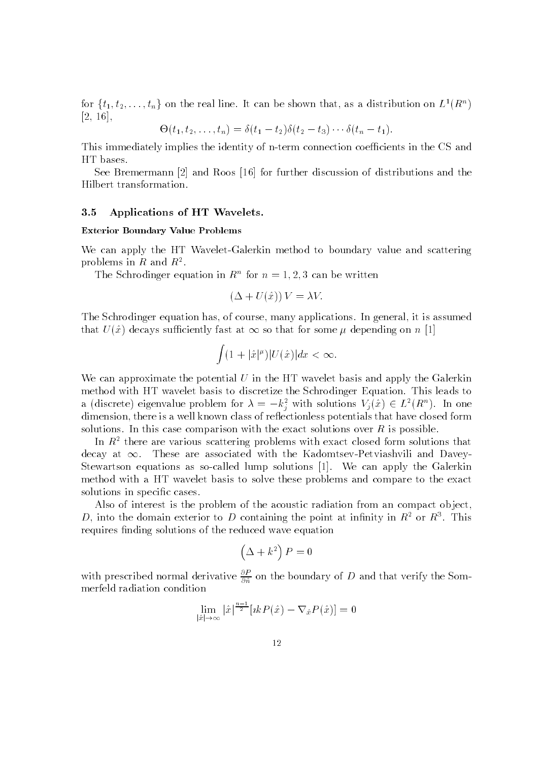for  $\{t_1, t_2, \ldots, t_n\}$  on the real line. It can be shown that, as a distribution on  $L^1(R^n)$ - -

$$
\Theta(t_1, t_2, \ldots, t_n) = \delta(t_1 - t_2)\delta(t_2 - t_3)\cdots \delta(t_n - t_1).
$$

This immediately implies the identity of n-term connection coefficients in the CS and HT bases 

See Bremermann  $[2]$  and Roos  $[16]$  for further discussion of distributions and the Hilbert transformation 

## 3.5 Applications of HT Wavelets.

#### Exterior Boundary Value Problems

We can apply the HT Wavelet-Galerkin method to boundary value and scattering problems in  $R$  and  $R^{\pi}.$ 

The Schrodinger equation in  $K^{\circ}$  for  $n = 1, 2, 3$  can be written

$$
(\Delta + U(\hat{x}))V = \lambda V.
$$

the Schrodinger equation has  $\mathcal{L}$  is assumed in general-in general-in general-in and the model that  $U(x)$  decays sufficiently fast at  $\infty$  so that for some  $\mu$  depending on  $n$  [1]

$$
\int (1+|\hat{x}|^{\mu})|U(\hat{x})|dx < \infty.
$$

We can approximate the potential  $U$  in the HT wavelet basis and apply the Galerkin method with HT wavelet basis to discretize the Schrodinger Equation. This leads to a (discrete) eigenvalue problem for  $\lambda = -k_i^2$  with solutions  $V_j(\tilde{x}) \in L^2(R^n)$ . In one dimension-there is a well-class of research the class of research  $\mu$  a closed form that have closed former is solutions. In this case comparison with the exact solutions over  $R$  is possible.

In  $R<sup>2</sup>$  there are various scattering problems with exact closed form solutions that decay at  $\infty$ . These are associated with the Kadomtsev-Petviashvili and Davey-Stewartson equations as so-called lump solutions [1]. We can apply the Galerkin method with a HT wavelet basis to solve these problems and compare to the exact solutions in specific cases.

Also of interest is the problem of the acoustic radiation from an compact object,  $D$ , into the domain exterior to  $D$  containing the point at infinity in  $R^-$  or  $R^+$ . This requires finding solutions of the reduced wave equation

$$
\left(\Delta + k^2\right) P = 0
$$

with prescribed normal derivative  $\frac{1}{\partial \hat{n}}$  on the boundary of D and that verify the Sommerfeld radiation condition

$$
\lim_{|\hat{x}| \to \infty} |\hat{x}|^{\frac{n-1}{2}} [ikP(\hat{x}) - \nabla_{\hat{x}} P(\hat{x})] = 0
$$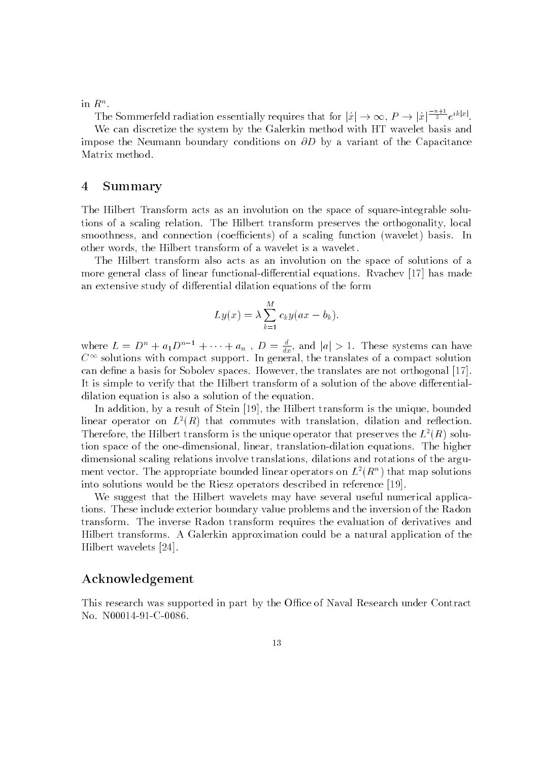in  $R^{\circ}$ .

The Sommerfeld radiation essentially requires that for  $|\hat{x}| \to \infty$ ,  $P \to |\hat{x}|^{\frac{-n+1}{2}} e^{ik|x|}$ .

We can discretize the system by the Galerkin method with HT wavelet basis and impose the Neumann boundary conditions on  $\partial D$  by a variant of the Capacitance Matrix method.

# Summary

The Hilbert Transform acts as an involution on the space of square-integrable solutions of a scaling relationship relationships transform preserves the orthogonality-theory orthogo smoothness-in-connection in the connection of a scaling function  $\mathbf{I}$ other words-the Hilbert transform of a wavelet is a wavelet is a wavelet is a wavelet is a wavelet is a wavele

The Hilbert transform also acts as an involution on the space of solutions of a more general class of linear functional-differential equations. Rvachev [17] has made an extensive study of differential dilation equations of the form

$$
Ly(x) = \lambda \sum_{k=1}^{M} c_k y(ax - b_k).
$$

where  $L = D^n + a_1 D^{n-1} + \cdots + a_n$ ,  $D = \frac{d}{dx}$ , and  $|a| > 1$ . These systems can have  $\mathbb{C}^\times$  solutions with compact support. In general, the translates of a compact solution can dene a basis for Sobolev spaces of the the translates are not orthogonal the translates  $\mathcal{A}$ It is simple to verify that the Hilbert transform of a solution of the above differentialdilation equation is also a solution of the equation 

our dition-dition-in-dition-dition-limited transformation-distance and the stein in the unit of the unit of th  $\max$  operator on  $L^+(R)$  that commutes with translation, dilation and reflection. Therefore, the Hilbert transform is the unique operator that preserves the  $L^-(R)$  solution space of the one mensional-mensional-mensional-mensional-mension squations and megasic dimensional scaling relations involve translations- dilations and rotations of the argu ment vector. The appropriate bounded inear operators on  $L^-(R^+)$  that map solutions into solutions would be the Riesz operators described in reference 
 

We suggest that the Hilbert wavelets may have several useful numerical applica tions These include exterior boundary value problems and the inversion of the Radon transform. The inverse Radon transform requires the evaluation of derivatives and Hilbert transforms A Galerkin approximation could be a natural application of the Hilbert wavelets [24].

# Acknowledgement

This research was supported in part by the Office of Naval Research under Contract No.  $N00014-91-C-0086$ .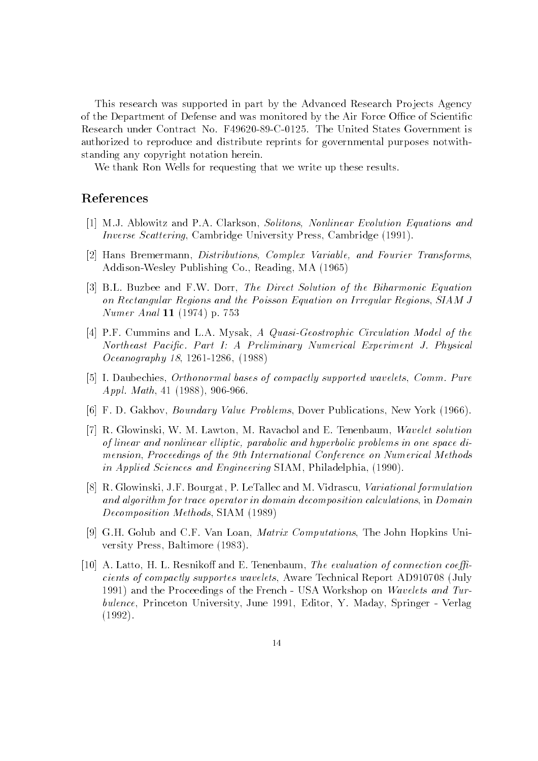This research was supported in part by the Advanced Research Projects Agency of the Department of Defense and was monitored by the Air Force Office of Scientific Research under Contract No. F49620-89-C-0125. The United States Government is authorized to reproduce and distribute reprints for governmental purposes notwith standing any copyright notation herein 

We thank Ron Wells for requesting that we write up these results.

# References

- , and the Posts and Posts Articles and Posts And Posts Inc. In the Clarkson-Construction Equation Equations and Inverse Scattering- Cambridge University Press- Cambridge
- Hans Bremermann- Distributions Complex Variable and Fourier Transforms- $A = \begin{bmatrix} 1 & -1 & -1 & -1 & -1 \\ 0 & 0 & 0 & 0 & 0 \\ 0 & 0 & 0 & 0 & 0 \\ 0 & 0 & 0 & 0 & 0 \\ 0 & 0 & 0 & 0 & 0 \\ 0 & 0 & 0 & 0 & 0 \\ 0 & 0 & 0 & 0 & 0 \\ 0 & 0 & 0 & 0 & 0 \\ 0 & 0 & 0 & 0 & 0 \\ 0 &$
- Bolish Buzbee and Figure and Figure and Figure and Figure and Figure Solution of the Biharmonic Equation of the Biharmonic Equation of the Biharmonic Equation of the Biharmonic Equation of the Biharmonic Equation of the B on Rectangular Regions and the Poisson Equation on Irregular Regions- SIAM J Numer Anal -- p
- Post Cummins and Louis and Louis Countries Model of the Louis Countries and the Countries of the Countries of Northeast Pacific. Part I: A Preliminary Numerical Experiment J. Physical Oceanography - -
- I Daubechies- Orthonormal bases of compactly supported wavelets- Comm Pure applied and the contract of the contract of the contract of the contract of the contract of the contract of the
- F D Gakhov- Boundary Value Problems- Dover Publications- New York
- R Glowinski- W M Lawton- M Ravachol and E Tenenbaum- Wavelet solution of linear and nonlinear elliptic, parabolic and hyperbolic problems in one space dimension- Proceedings of the Americal Methods of the American Methods on Numerical Methods on Numerical Methods in Applied Sciences and Engineering SIAM- Philadelphia-
- rot are glowing the teacher of the second model in the manner of the second teacher of the second contract of and algorithm for trace operator in domain decomposition calculations- in Domain sition and the component of the side of the side of the side of the side of the side of the side of the side o
- G H Golub and C F Van Loan- Matrix Computations- The John Hopkins Uni versity Press- Baltimore
- , and the extent the evaluation of the extreme coefficient of connection of the evaluation of the extent of th cients of compactly supporter wavelets-compactness wavelets-wavelets-compact to the property of  $\mathcal{L}_\mathcal{P}$ 1991) and the Proceedings of the French  $\overline{\phantom{a}}$  USA Workshop on Wavelets and Turbulence-bullence-bullence-bullence-bullence-bullence-bullence-bullence-bullence-bullence-bullence-bullence-bull  $\cdot$   $\cdot$